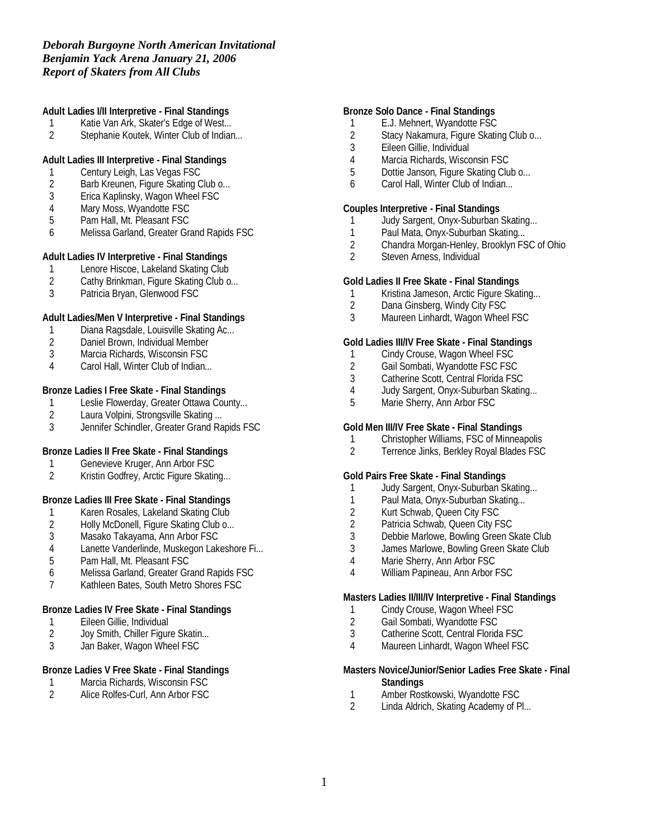## *Deborah Burgoyne North American Invitational Benjamin Yack Arena January 21, 2006 Report of Skaters from All Clubs*

**Adult Ladies I/II Interpretive - Final Standings**

- 1 Katie Van Ark, Skater's Edge of West...<br>2 Stephanie Koutek, Winter Club of Indian
- Stephanie Koutek, Winter Club of Indian...

**Adult Ladies III Interpretive - Final Standings**

- 1 Century Leigh, Las Vegas FSC<br>2 Barb Kreunen, Figure Skating C
- Barb Kreunen, Figure Skating Club o...
- 3 Erica Kaplinsky, Wagon Wheel FSC
- 4 Mary Moss, Wyandotte FSC<br>5 Pam Hall, Mt. Pleasant FSC
- Pam Hall, Mt. Pleasant FSC
- 6 Melissa Garland, Greater Grand Rapids FSC

**Adult Ladies IV Interpretive - Final Standings**

- 1 Lenore Hiscoe, Lakeland Skating Club
- 2 Cathy Brinkman, Figure Skating Club o...
- 3 Patricia Bryan, Glenwood FSC

**Adult Ladies/Men V Interpretive - Final Standings**

- 1 Diana Ragsdale, Louisville Skating Ac...<br>2 Daniel Brown, Individual Member
- Daniel Brown, Individual Member
- 3 Marcia Richards, Wisconsin FSC
- 4 Carol Hall, Winter Club of Indian...

**Bronze Ladies I Free Skate - Final Standings**

- 1 Leslie Flowerday, Greater Ottawa County...<br>2 Laura Volpini, Strongsville Skating...
- 2 Laura Volpini, Strongsville Skating ...<br>3 Jennifer Schindler. Greater Grand Ra
- 3 Jennifer Schindler, Greater Grand Rapids FSC

**Bronze Ladies II Free Skate - Final Standings**

- 1 Genevieve Kruger, Ann Arbor FSC<br>2 Kristin Godfrev. Arctic Figure Skatin
- Kristin Godfrey, Arctic Figure Skating...

**Bronze Ladies III Free Skate - Final Standings**

- 1 Karen Rosales, Lakeland Skating Club<br>2 Holly McDonell, Figure Skating Club o...
- 2 Holly McDonell, Figure Skating Club o...<br>3 Masako Takayama, Ann Arbor FSC
- Masako Takayama, Ann Arbor FSC
- 4 Lanette Vanderlinde, Muskegon Lakeshore Fi...
- 5 Pam Hall, Mt. Pleasant FSC
- 6 Melissa Garland, Greater Grand Rapids FSC
- 7 Kathleen Bates, South Metro Shores FSC

**Bronze Ladies IV Free Skate - Final Standings**

- 1 Eileen Gillie, Individual<br>2 Joy Smith, Chiller Figur
- Joy Smith, Chiller Figure Skatin...
- 3 Jan Baker, Wagon Wheel FSC

## **Bronze Ladies V Free Skate - Final Standings**

- 1 Marcia Richards, Wisconsin FSC<br>2 Alice Rolfes-Curl, Ann Arbor FSC
- Alice Rolfes-Curl, Ann Arbor FSC

**Bronze Solo Dance - Final Standings**

- 1 E.J. Mehnert, Wyandotte FSC
- 2 Stacy Nakamura, Figure Skating Club o...<br>3 Eileen Gillie. Individual
- Eileen Gillie, Individual
- 4 Marcia Richards, Wisconsin FSC
- 5 Dottie Janson, Figure Skating Club o...
- 6 Carol Hall, Winter Club of Indian...

**Couples Interpretive - Final Standings**

- 1 Judy Sargent, Onyx-Suburban Skating...
- 1 Paul Mata, Onyx-Suburban Skating...<br>2 Chandra Morgan-Henley, Brooklyn FS
- 2 Chandra Morgan-Henley, Brooklyn FSC of Ohio<br>2 Steven Arness. Individual
- Steven Arness, Individual

**Gold Ladies II Free Skate - Final Standings**

- 1 Kristina Jameson, Arctic Figure Skating...
- 2 Dana Ginsberg, Windy City FSC
- 3 Maureen Linhardt, Wagon Wheel FSC

**Gold Ladies III/IV Free Skate - Final Standings**

- 1 Cindy Crouse, Wagon Wheel FSC
- 
- 2 Gail Sombati, Wyandotte FSC FSC<br>3 Catherine Scott. Central Florida FSC
- 3 Catherine Scott, Central Florida FSC<br>4 Judy Sargent, Onyx-Suburban Skatin Judy Sargent, Onyx-Suburban Skating...
- 5 Marie Sherry, Ann Arbor FSC

**Gold Men III/IV Free Skate - Final Standings**

- 1 Christopher Williams, FSC of Minneapolis
- 2 Terrence Jinks, Berkley Royal Blades FSC

**Gold Pairs Free Skate - Final Standings**

- 1 Judy Sargent, Onyx-Suburban Skating...
- 1 Paul Mata, Onyx-Suburban Skating...
- 2 Kurt Schwab, Queen City FSC
- 2 Patricia Schwab, Queen City FSC<br>3 Debbie Marlowe, Bowling Green S
- 3 Debbie Marlowe, Bowling Green Skate Club
- James Marlowe, Bowling Green Skate Club
- 4 Marie Sherry, Ann Arbor FSC
- 4 William Papineau, Ann Arbor FSC

**Masters Ladies II/III/IV Interpretive - Final Standings**

- 1 Cindy Crouse, Wagon Wheel FSC
- 2 Gail Sombati, Wyandotte FSC
- 3 Catherine Scott, Central Florida FSC
- 4 Maureen Linhardt, Wagon Wheel FSC

**Masters Novice/Junior/Senior Ladies Free Skate - Final Standings**

- 1 Amber Rostkowski, Wyandotte FSC<br>2 Linda Aldrich. Skating Academy of P
- Linda Aldrich, Skating Academy of Pl...